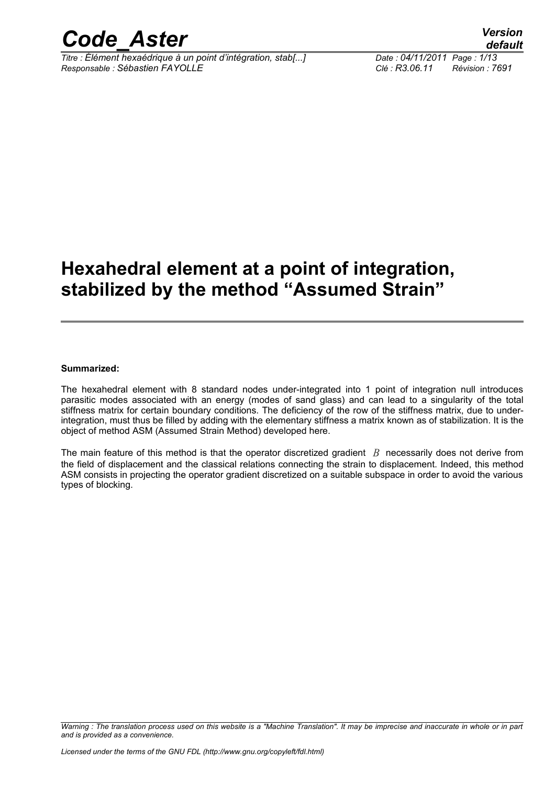

*Titre : Élément hexaédrique à un point d'intégration, stab[...] Date : 04/11/2011 Page : 1/13 Responsable : Sébastien FAYOLLE Clé : R3.06.11 Révision : 7691*

## **Hexahedral element at a point of integration, stabilized by the method "Assumed Strain"**

#### **Summarized:**

The hexahedral element with 8 standard nodes under-integrated into 1 point of integration null introduces parasitic modes associated with an energy (modes of sand glass) and can lead to a singularity of the total stiffness matrix for certain boundary conditions. The deficiency of the row of the stiffness matrix, due to underintegration, must thus be filled by adding with the elementary stiffness a matrix known as of stabilization. It is the object of method ASM (Assumed Strain Method) developed here.

The main feature of this method is that the operator discretized gradient *B* necessarily does not derive from the field of displacement and the classical relations connecting the strain to displacement. Indeed, this method ASM consists in projecting the operator gradient discretized on a suitable subspace in order to avoid the various types of blocking.

*Warning : The translation process used on this website is a "Machine Translation". It may be imprecise and inaccurate in whole or in part and is provided as a convenience.*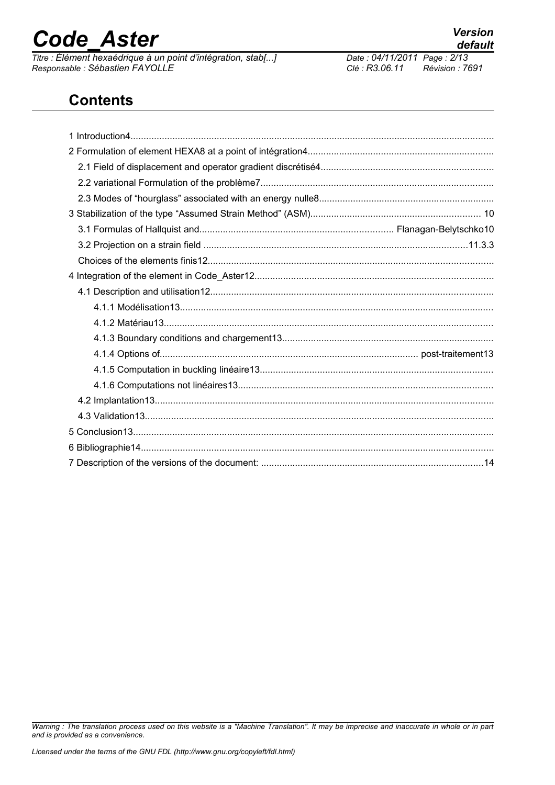*Titre : Élément hexaédrique à un point d'intégration, stab[...] Date : 04/11/2011 Page : 2/13 Responsable : Sébastien FAYOLLE Clé : R3.06.11 Révision : 7691*

# *default*<br>Date : 04/11/2011 Page : 2/13

### **Contents**

*Warning : The translation process used on this website is a "Machine Translation". It may be imprecise and inaccurate in whole or in part and is provided as a convenience.*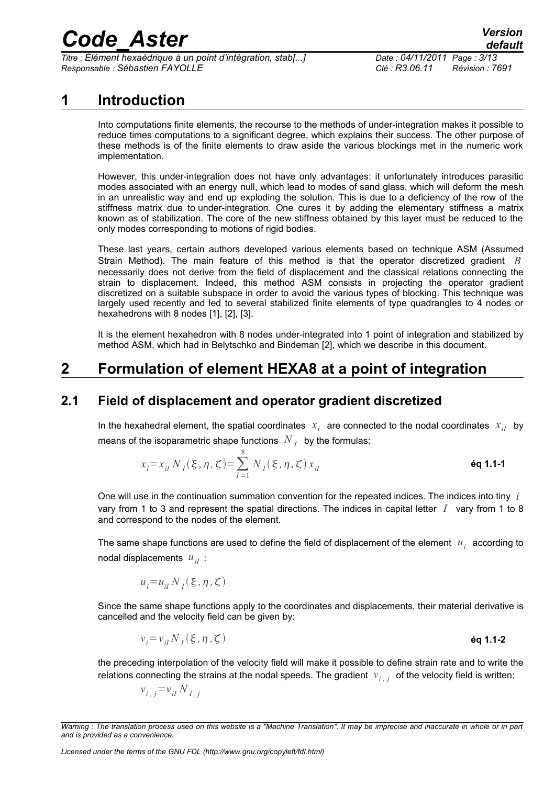*Titre : Élément hexaédrique à un point d'intégration, stab[...] Date : 04/11/2011 Page : 3/13 Responsable : Sébastien FAYOLLE Clé : R3.06.11 Révision : 7691*

### **1 Introduction**

Into computations finite elements, the recourse to the methods of under-integration makes it possible to reduce times computations to a significant degree, which explains their success. The other purpose of these methods is of the finite elements to draw aside the various blockings met in the numeric work implementation.

However, this under-integration does not have only advantages: it unfortunately introduces parasitic modes associated with an energy null, which lead to modes of sand glass, which will deform the mesh in an unrealistic way and end up exploding the solution. This is due to a deficiency of the row of the stiffness matrix due to under-integration. One cures it by adding the elementary stiffness a matrix known as of stabilization. The core of the new stiffness obtained by this layer must be reduced to the only modes corresponding to motions of rigid bodies.

These last years, certain authors developed various elements based on technique ASM (Assumed Strain Method). The main feature of this method is that the operator discretized gradient *B* necessarily does not derive from the field of displacement and the classical relations connecting the strain to displacement. Indeed, this method ASM consists in projecting the operator gradient discretized on a suitable subspace in order to avoid the various types of blocking. This technique was largely used recently and led to several stabilized finite elements of type quadrangles to 4 nodes or hexahedrons with 8 nodes [1], [2], [3].

It is the element hexahedron with 8 nodes under-integrated into 1 point of integration and stabilized by method ASM, which had in Belytschko and Bindeman [2], which we describe in this document.

## **2 Formulation of element HEXA8 at a point of integration**

### **2.1 Field of displacement and operator gradient discretized**

In the hexahedral element, the spatial coordinates  $x_i$  are connected to the nodal coordinates  $x_{iI}$  by means of the isoparametric shape functions  $\left| N\right| _{I} \;$  by the formulas:

$$
x_{i} = x_{iI} N_{I}(\xi, \eta, \zeta) = \sum_{I=1}^{8} N_{I}(\xi, \eta, \zeta) x_{iI}
$$
 **éq 1.1-1**

One will use in the continuation summation convention for the repeated indices. The indices into tiny *i* vary from 1 to 3 and represent the spatial directions. The indices in capital letter *I* vary from 1 to 8 and correspond to the nodes of the element.

The same shape functions are used to define the field of displacement of the element  $|u_i|$  according to nodal displacements  $u_{iI}$ :

$$
u_i = u_{iI} N_I(\xi, \eta, \zeta)
$$

Since the same shape functions apply to the coordinates and displacements, their material derivative is cancelled and the velocity field can be given by:

$$
v_i = v_{iI} N_I(\xi, \eta, \zeta)
$$

the preceding interpolation of the velocity field will make it possible to define strain rate and to write the relations connecting the strains at the nodal speeds. The gradient  $|v_{i,j}|$  of the velocity field is written:

$$
v_{i,j} = v_{i} N_{I,j}
$$

*Warning : The translation process used on this website is a "Machine Translation". It may be imprecise and inaccurate in whole or in part and is provided as a convenience.*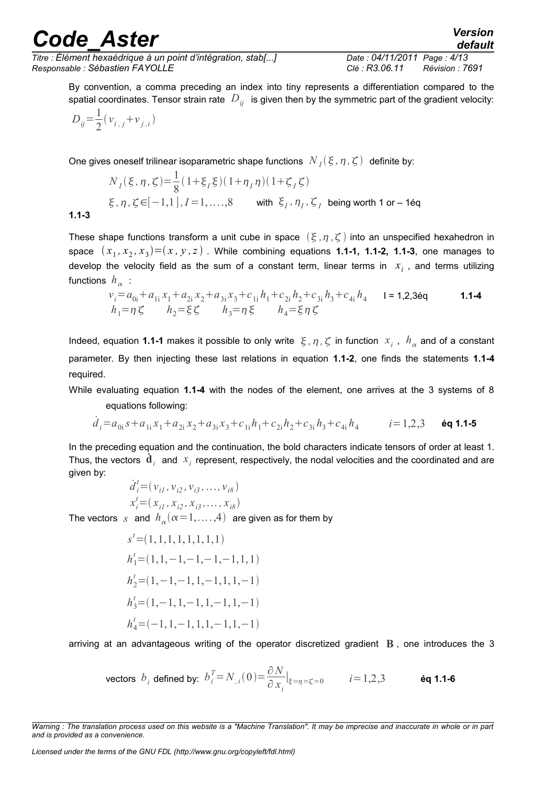*Titre : Élément hexaédrique à un point d'intégration, stab[...] Date : 04/11/2011 Page : 4/13 Responsable : Sébastien FAYOLLE Clé : R3.06.11 Révision : 7691*

*default*

By convention, a comma preceding an index into tiny represents a differentiation compared to the spatial coordinates. Tensor strain rate  $D_{ij}$  is given then by the symmetric part of the gradient velocity:

$$
D_{ij} = \frac{1}{2} (v_{i,j} + v_{j,i})
$$

One gives oneself trilinear isoparametric shape functions  $\ N_{I}(\xi,\eta,\zeta)$  definite by:

$$
N_{I}(\xi, \eta, \zeta) = \frac{1}{8} (1 + \xi_{I} \xi)(1 + \eta_{I} \eta)(1 + \zeta_{I} \zeta)
$$
  
 
$$
\xi, \eta, \zeta \in [-1, 1], I = 1, ..., 8 \quad \text{with } \xi_{I}, \eta_{I}, \zeta_{I} \text{ being worth 1 or } -16q
$$

**1.1-3**

These shape functions transform a unit cube in space  $(\xi, \eta, \zeta)$  into an unspecified hexahedron in space  $(x_1, x_2, x_3) = (x, y, z)$  . While combining equations **1.1-1, 1.1-2, 1.1-3**, one manages to develop the velocity field as the sum of a constant term, linear terms in  $x<sub>i</sub>$ , and terms utilizing functions  $h_{\alpha}^{\phantom{\dagger}}$  :

$$
v_i = a_{0i} + a_{1i}x_1 + a_{2i}x_2 + a_{3i}x_3 + c_{1i}h_1 + c_{2i}h_2 + c_{3i}h_3 + c_{4i}h_4 \qquad \text{I = 1,2,36q} \qquad \text{1.1-4}
$$
  
\n
$$
h_1 = \eta \zeta \qquad h_2 = \xi \zeta \qquad h_3 = \eta \xi \qquad h_4 = \xi \eta \zeta
$$

Indeed, equation 1.1-1 makes it possible to only write  $\,\xi$ ,  $\eta$ ,  $\zeta$  in function  $\,x_i^{}$  ,  $\,h_\alpha^{}$  and of a constant parameter. By then injecting these last relations in equation **1.1-2**, one finds the statements **1.1-4** required.

While evaluating equation **1.1-4** with the nodes of the element, one arrives at the 3 systems of 8 equations following:

$$
\dot{d}_i = a_{0i} s + a_{1i} x_1 + a_{2i} x_2 + a_{3i} x_3 + c_{1i} h_1 + c_{2i} h_2 + c_{3i} h_3 + c_{4i} h_4 \qquad i = 1, 2, 3 \quad \text{\'eq } 1.1-5
$$

In the preceding equation and the continuation, the bold characters indicate tensors of order at least 1. Thus, the vectors  $\dot{\mathbf{d}}_i$  and  $x_i$  represent, respectively, the nodal velocities and the coordinated and are given by:

$$
\dot{d}_i^t = (v_{i1}, v_{i2}, v_{i3}, \dots, v_{i8})
$$
  

$$
x_i^t = (x_{i1}, x_{i2}, x_{i3}, \dots, x_{i8})
$$

The vectors  $|_{S}$  and  $|h_{\alpha}(\alpha\!=\!1,\ldots,4)|$  are given as for them by

$$
s' = (1, 1, 1, 1, 1, 1, 1, 1)
$$
  
\n
$$
h'_1 = (1, 1, -1, -1, -1, -1, 1, 1, 1)
$$
  
\n
$$
h'_2 = (1, -1, -1, 1, -1, 1, 1, -1)
$$
  
\n
$$
h'_3 = (1, -1, 1, -1, 1, -1, 1, -1, 1, -1)
$$
  
\n
$$
h'_4 = (-1, 1, -1, 1, 1, -1, 1, -1, -1)
$$

arriving at an advantageous writing of the operator discretized gradient **B** , one introduces the 3

vectors 
$$
b_i
$$
 defined by:  $b_i^T = N_{,i}(0) = \frac{\partial N}{\partial x_i}|_{\xi = \eta = \zeta = 0}$   $i = 1,2,3$  **6q 1.1-6**

*Warning : The translation process used on this website is a "Machine Translation". It may be imprecise and inaccurate in whole or in part and is provided as a convenience.*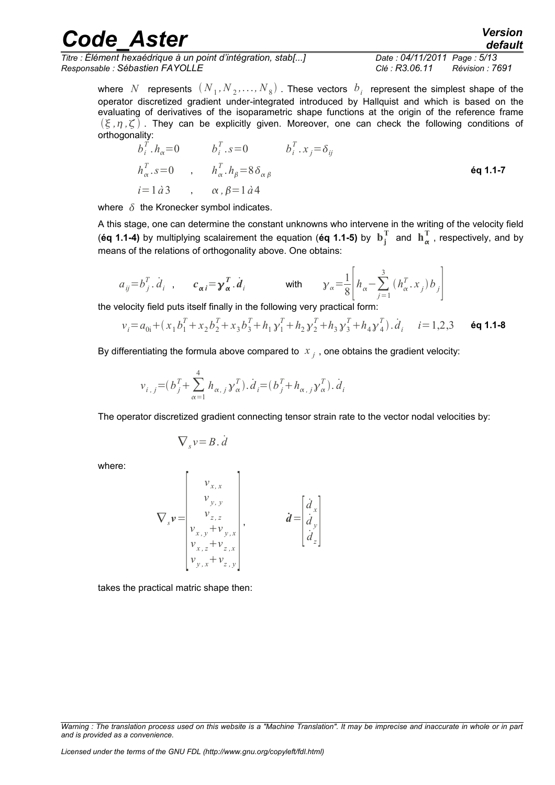| <b>Code Aster</b> | <b>Version</b><br>default |
|-------------------|---------------------------|
|-------------------|---------------------------|

*Titre : Élément hexaédrique à un point d'intégration, stab[...] Date : 04/11/2011 Page : 5/13 Responsable : Sébastien FAYOLLE Clé : R3.06.11 Révision : 7691*

where  $N$  represents  $(N_{\,1},N_{\,2},\ldots,N_{\,8})$  . These vectors  $\,b_{\,i}\,$  represent the simplest shape of the operator discretized gradient under-integrated introduced by Hallquist and which is based on the evaluating of derivatives of the isoparametric shape functions at the origin of the reference frame  $(\xi, \eta, \zeta)$ . They can be explicitly given. Moreover, one can check the following conditions of orthogonality:

$$
b_i^T \cdot h_{\alpha} = 0 \t b_i^T \cdot s = 0 \t b_i^T \cdot x_j = \delta_{ij}
$$
  
\n
$$
h_{\alpha}^T \cdot s = 0 \t , \t h_{\alpha}^T \cdot h_{\beta} = 8 \delta_{\alpha \beta} \t \text{\'eq 1.1-7}
$$
  
\n
$$
i = 1 \text{ d3} \t , \t \alpha, \beta = 1 \text{ d4}
$$

where  $\delta$  the Kronecker symbol indicates.

A this stage, one can determine the constant unknowns who intervene in the writing of the velocity field (éq 1.1-4) by multiplying scalairement the equation (éq 1.1-5) by  $\mathbf{b}_j^T$  and  $\mathbf{h}_{\alpha}^T$  , respectively, and by means of the relations of orthogonality above. One obtains:

$$
a_{ij} = b_j^T \dot{d}_i , \qquad c_{\alpha i} = \gamma_{\alpha}^T \dot{d}_i
$$
 with 
$$
\gamma_{\alpha} = \frac{1}{8} \left| h_{\alpha} - \sum_{j=1}^3 (h_{\alpha}^T \dot{x}_j) b_j \right|
$$

the velocity field puts itself finally in the following very practical form:

$$
v_i = a_{0i} + (x_1 b_1^T + x_2 b_2^T + x_3 b_3^T + h_1 y_1^T + h_2 y_2^T + h_3 y_3^T + h_4 y_4^T) \dot{d}_i \quad i = 1, 2, 3 \quad \text{6q 1.1-8}
$$

By differentiating the formula above compared to  $\left| x \right|_j$  , one obtains the gradient velocity:

$$
v_{i,j} = (b_j^T + \sum_{\alpha=1}^4 h_{\alpha,j} y_{\alpha}^T) \cdot \dot{d}_i = (b_j^T + h_{\alpha,j} y_{\alpha}^T) \cdot \dot{d}_i
$$

The operator discretized gradient connecting tensor strain rate to the vector nodal velocities by:

$$
\nabla_s v = B \cdot \dot{d}
$$

where:

$$
\nabla_{s} \mathbf{v} = \begin{bmatrix} v_{x,x} \\ v_{y,y} \\ v_{z,z} \\ v_{x,y} + v_{y,x} \\ v_{x,z} + v_{z,x} \\ v_{y,x} + v_{z,y} \end{bmatrix}, \qquad \dot{d} = \begin{bmatrix} \dot{d}_x \\ \dot{d}_y \\ \dot{d}_z \end{bmatrix}
$$

takes the practical matric shape then:

*Warning : The translation process used on this website is a "Machine Translation". It may be imprecise and inaccurate in whole or in part and is provided as a convenience.*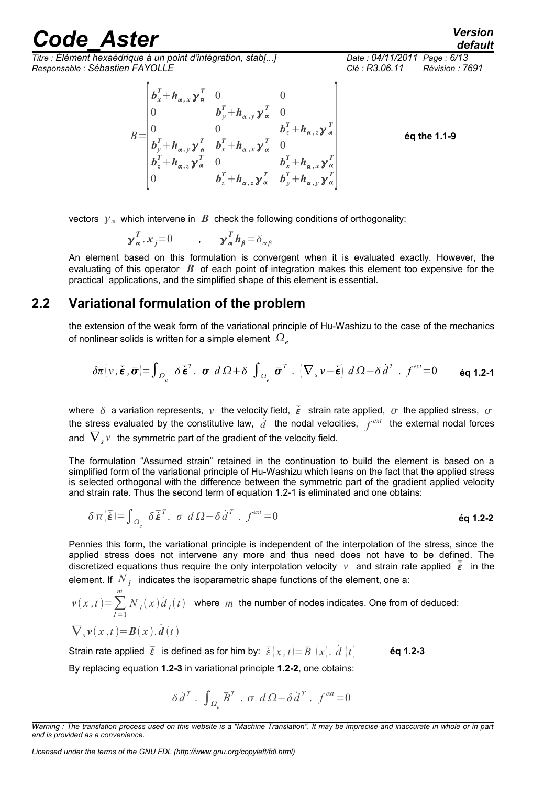*Titre : Élément hexaédrique à un point d'intégration, stab[...] Date : 04/11/2011 Page : 6/13 Responsable : Sébastien FAYOLLE Clé : R3.06.11 Révision : 7691*

*default*

 $B =$  $\left| \right| b_z + h$  $b_x^T + h_{\alpha, x} y_\alpha^T$  0 0 0  $b_y^T + h_{\alpha,y} y_\alpha^T$  0 0 0 *b<sup>z</sup> <sup>T</sup>h ,z T*  $b_y^T + h_{\alpha, y} y_{\alpha}^T$   $b_x^T + h_{\alpha, x} y_{\alpha}^T$  0  $b_x^T + h_{\alpha, z} y_\alpha^T$  0  $b_x^T + h_{\alpha, x} y_\alpha^T$ 0  $b_z^T + h_{\alpha,z} y_\alpha^T$   $b_y^T + h_{\alpha,y} y_\alpha^T$  $\begin{array}{c} \alpha \\ T \end{array}$ **éq the 1.1-9**

vectors  $y_\alpha$  which intervene in  $\boldsymbol{B}$  check the following conditions of orthogonality:

$$
\gamma_{\alpha}^{T}.x_{j}=0 \qquad , \qquad \gamma_{\alpha}^{T}h_{\beta}=\delta_{\alpha\beta}
$$

An element based on this formulation is convergent when it is evaluated exactly. However, the evaluating of this operator *B* of each point of integration makes this element too expensive for the practical applications, and the simplified shape of this element is essential.

#### **2.2 Variational formulation of the problem**

the extension of the weak form of the variational principle of Hu-Washizu to the case of the mechanics of nonlinear solids is written for a simple element  $\Omega_{\ell}$ 

$$
\delta \pi \big( v \,, \overline{\dot{\boldsymbol{\epsilon}}} \,, \overline{\boldsymbol{\sigma}} \big) = \int_{\Omega_{e}} \delta \overline{\dot{\boldsymbol{\epsilon}}}^{T}.\ \ \boldsymbol{\sigma} \ d\Omega + \delta \ \int_{\Omega_{e}} \overline{\boldsymbol{\sigma}}^{T}.\ \big( \nabla_{s} v - \overline{\dot{\boldsymbol{\epsilon}}} \big) \ d\Omega - \delta \dot{d}^{T}.\ \ f^{\text{ext}} = 0 \qquad \text{Eq 1.2-1}
$$

where  $\delta$  a variation represents,  $\nu$  the velocity field,  $\vec{\epsilon}$  strain rate applied,  $\bar{\sigma}$  the applied stress,  $\sigma$ the stress evaluated by the constitutive law,  $\dot{d}$  the nodal velocities,  $f^{ext}$  the external nodal forces and  $\left. \nabla_{s} \nu \right.$  the symmetric part of the gradient of the velocity field.

The formulation "Assumed strain" retained in the continuation to build the element is based on a simplified form of the variational principle of Hu-Washizu which leans on the fact that the applied stress is selected orthogonal with the difference between the symmetric part of the gradient applied velocity and strain rate. Thus the second term of equation 1.2-1 is eliminated and one obtains:

$$
\delta \pi \left( \bar{\dot{\boldsymbol{\epsilon}}} \right) = \int_{\Omega_{\epsilon}} \delta \bar{\boldsymbol{\epsilon}}^{T} . \quad \sigma \ d \Omega - \delta \dot{d}^{T} . \quad f^{\text{ext}} = 0
$$

Pennies this form, the variational principle is independent of the interpolation of the stress, since the applied stress does not intervene any more and thus need does not have to be defined. The discretized equations thus require the only interpolation velocity  $v$  and strain rate applied  $\overline{\epsilon}$  in the element. If  $\left| N_{\right| I}\right|$  indicates the isoparametric shape functions of the element, one a:

$$
\mathbf{v}(x,t) = \sum_{I=1}^{m} N_I(x) \dot{d}_I(t)
$$
 where *m* the number of nodes indicates. One from of deduced:  
\n
$$
\nabla_s \mathbf{v}(x,t) = \mathbf{B}(x) \dot{d}(t)
$$

Strain rate applied  $\bar{\xi}$  is defined as for him by:  $\bar{\xi}(x, t) = \bar{B}(x) \cdot \dot{d}(t)$  **éq 1.2-3** By replacing equation **1.2-3** in variational principle **1.2-2**, one obtains:

$$
\delta \dot{d}^T \cdot \int_{\Omega_e} \bar{B}^T \cdot \sigma \ d\Omega - \delta \dot{d}^T \cdot f^{ext} = 0
$$

*Licensed under the terms of the GNU FDL (http://www.gnu.org/copyleft/fdl.html)*

*Warning : The translation process used on this website is a "Machine Translation". It may be imprecise and inaccurate in whole or in part and is provided as a convenience.*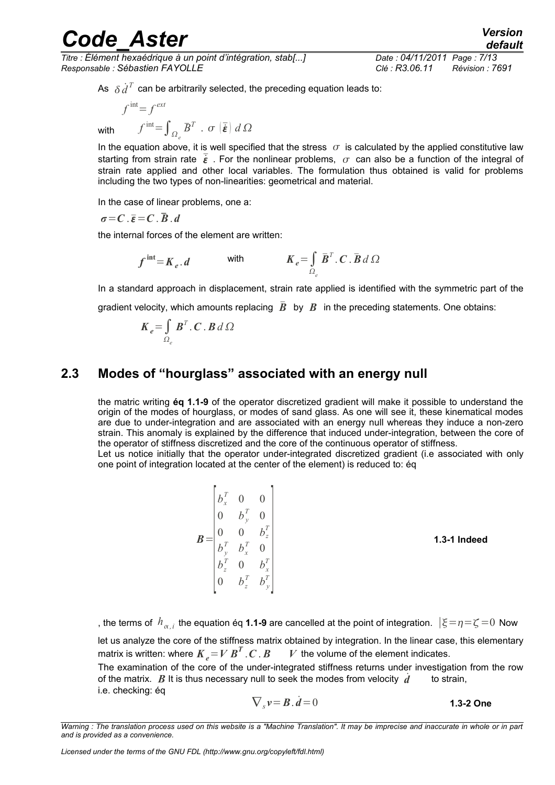*Titre : Élément hexaédrique à un point d'intégration, stab[...] Date : 04/11/2011 Page : 7/13 Responsable : Sébastien FAYOLLE Clé : R3.06.11 Révision : 7691*

As  $\delta \dot{\vec{d}}^T$  can be arbitrarily selected, the preceding equation leads to:

$$
f^{\text{int}} = f^{\text{ext}}
$$
  

$$
f^{\text{int}} = \int_{\Omega_e} \overline{B}^T \cdot \sigma \left(\overline{\dot{\mathbf{\varepsilon}}}\right) d\Omega
$$

with *f*

In the equation above, it is well specified that the stress  $\sigma$  is calculated by the applied constitutive law starting from strain rate  $\vec{\epsilon}$ . For the nonlinear problems,  $\sigma$  can also be a function of the integral of strain rate applied and other local variables. The formulation thus obtained is valid for problems including the two types of non-linearities: geometrical and material.

In the case of linear problems, one a:

 $\sigma = C$ .  $\overline{\varepsilon} = C$ .  $\overline{B}$ . *d* 

the internal forces of the element are written:

$$
f^{\text{int}} = K_e \cdot d \qquad \text{with} \qquad K_e = \int_{\Omega_e} \bar{B}^T \cdot C \cdot \bar{B} \, d\Omega
$$

In a standard approach in displacement, strain rate applied is identified with the symmetric part of the gradient velocity, which amounts replacing  $\overline{B}$  by  $B$  in the preceding statements. One obtains:

$$
\boldsymbol{K}_e = \int_{\Omega_e} \boldsymbol{B}^T \cdot \boldsymbol{C} \cdot \boldsymbol{B} \, d\Omega
$$

### **2.3 Modes of "hourglass" associated with an energy null**

 $b_x^T$  0 0

the matric writing **éq 1.1-9** of the operator discretized gradient will make it possible to understand the origin of the modes of hourglass, or modes of sand glass. As one will see it, these kinematical modes are due to under-integration and are associated with an energy null whereas they induce a non-zero strain. This anomaly is explained by the difference that induced under-integration, between the core of the operator of stiffness discretized and the core of the continuous operator of stiffness. Let us notice initially that the operator under-integrated discretized gradient (i.e associated with only

one point of integration located at the center of the element) is reduced to: éq

 $B=$  $\left| \right. \right| \left. \right| _{z}$  0  $\begin{bmatrix} 0 && b_{y}^{T} & 0 \end{bmatrix}$  $0 \t 0 \t b_z^T$  $b_y^T$   $b_x^T$  0  $b_z^T$  0  $b_x^T$  $\begin{bmatrix} 0 & b_z^T & b_y^T \end{bmatrix}$  $\begin{array}{c|c}\nx \\
T\n\end{array}$ **1.3-1 Indeed**

, the terms of  $h_{\alpha,i}$  the equation éq **1.1-9** are cancelled at the point of integration.  $|\xi\!=\!\eta\!=\!\zeta\!=\!0$  Now let us analyze the core of the stiffness matrix obtained by integration. In the linear case, this elementary matrix is written: where  $\boldsymbol{K}_e\!=\!\boldsymbol{V}\,\boldsymbol{B}^T$  $V$  the volume of the element indicates. The examination of the core of the under-integrated stiffness returns under investigation from the row of the matrix.  $\vec{B}$  It is thus necessary null to seek the modes from velocity  $\vec{d}$  to strain, i.e. checking: éq

$$
\nabla_s v = \mathbf{B} \cdot \dot{\mathbf{d}} = 0
$$
 **1.3-2 One**

*Warning : The translation process used on this website is a "Machine Translation". It may be imprecise and inaccurate in whole or in part and is provided as a convenience.*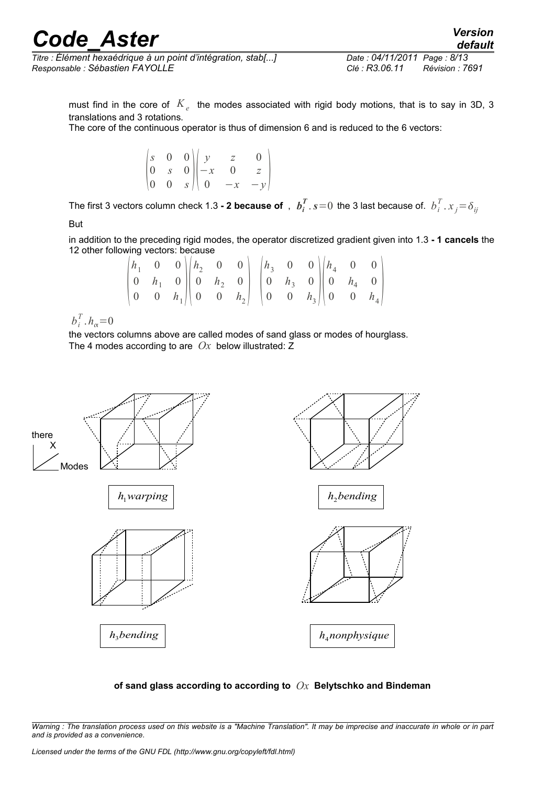*Titre : Élément hexaédrique à un point d'intégration, stab[...] Date : 04/11/2011 Page : 8/13 Responsable : Sébastien FAYOLLE Clé : R3.06.11 Révision : 7691*

*default*

must find in the core of  $\left\vert K_{e}\right\rangle$  the modes associated with rigid body motions, that is to say in 3D, 3 translations and 3 rotations.

The core of the continuous operator is thus of dimension 6 and is reduced to the 6 vectors:

|  | $\begin{pmatrix} s & 0 & 0 \\ 0 & s & 0 \\ 0 & 0 & s \end{pmatrix} \begin{pmatrix} y \\ -x \\ 0 & 0 \end{pmatrix}$ |  |  |
|--|--------------------------------------------------------------------------------------------------------------------|--|--|
|  |                                                                                                                    |  |  |
|  |                                                                                                                    |  |  |

The first 3 vectors column check 1.3 **- 2 because of** ,  $\bm{b}_i^T$  .  $s{=}0\,$  the 3 last because of.  $\bm{b}_i^T$  .  $x_j{=}\delta_{ij}$ 

But

in addition to the preceding rigid modes, the operator discretized gradient given into 1.3 **- 1 cancels** the 12 other following vectors: because

|  |  | $\begin{vmatrix} h_1 & 0 & 0 \end{vmatrix} \begin{vmatrix} h_2 & 0 & 0 \end{vmatrix} = \begin{vmatrix} h_3 & 0 & 0 \end{vmatrix} \begin{vmatrix} h_4 & 0 \end{vmatrix}$         |  |  |  |  |  |
|--|--|---------------------------------------------------------------------------------------------------------------------------------------------------------------------------------|--|--|--|--|--|
|  |  | $\begin{vmatrix} 0 & h_1 & 0 \end{vmatrix}$ $\begin{vmatrix} 0 & h_2 & 0 \end{vmatrix}$ $\begin{vmatrix} 0 & h_3 & 0 \end{vmatrix}$ $\begin{vmatrix} 0 & h_4 & 0 \end{vmatrix}$ |  |  |  |  |  |
|  |  | $\begin{pmatrix} 0 & 0 & h_1 \end{pmatrix} \begin{pmatrix} 0 & 0 & h_2 \end{pmatrix} \begin{pmatrix} 0 & 0 & h_3 \end{pmatrix} \begin{pmatrix} 0 & 0 & h_4 \end{pmatrix}$       |  |  |  |  |  |

 $b_i^T$ .  $h_\alpha = 0$ 

the vectors columns above are called modes of sand glass or modes of hourglass. The 4 modes according to are *Ox* below illustrated: Z





*Warning : The translation process used on this website is a "Machine Translation". It may be imprecise and inaccurate in whole or in part and is provided as a convenience.*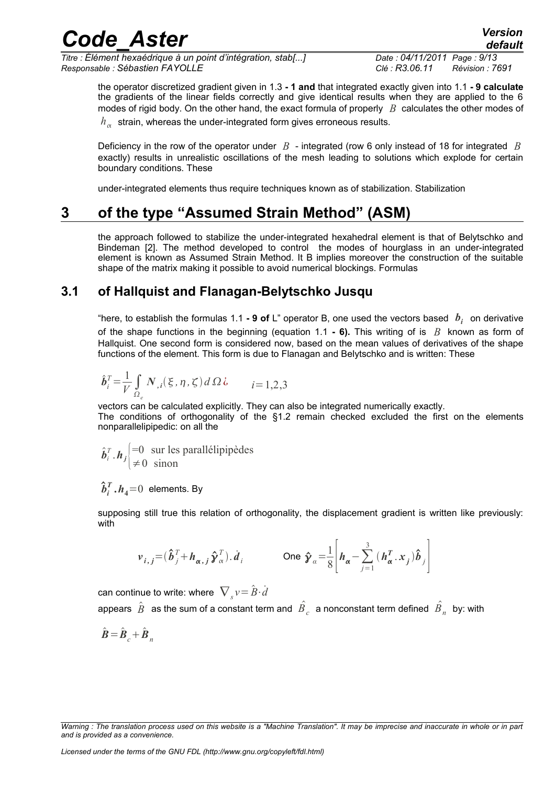*Titre : Élément hexaédrique à un point d'intégration, stab[...] Date : 04/11/2011 Page : 9/13 Responsable : Sébastien FAYOLLE Clé : R3.06.11 Révision : 7691*

the operator discretized gradient given in 1.3 **- 1 and** that integrated exactly given into 1.1 **- 9 calculate** the gradients of the linear fields correctly and give identical results when they are applied to the 6 modes of rigid body. On the other hand, the exact formula of properly *B* calculates the other modes of  $h_{\alpha}^{\phantom{\dag}}$  strain, whereas the under-integrated form gives erroneous results.

Deficiency in the row of the operator under *B* - integrated (row 6 only instead of 18 for integrated *B* exactly) results in unrealistic oscillations of the mesh leading to solutions which explode for certain boundary conditions. These

under-integrated elements thus require techniques known as of stabilization. Stabilization

## **3 of the type "Assumed Strain Method" (ASM)**

the approach followed to stabilize the under-integrated hexahedral element is that of Belytschko and Bindeman [2]. The method developed to control the modes of hourglass in an under-integrated element is known as Assumed Strain Method. It B implies moreover the construction of the suitable shape of the matrix making it possible to avoid numerical blockings. Formulas

### **3.1 of Hallquist and Flanagan-Belytschko Jusqu**

"here, to establish the formulas 1.1 **- 9 of** L" operator B, one used the vectors based  $b_i$  on derivative of the shape functions in the beginning (equation 1.1 **- 6).** This writing of is *B* known as form of Hallquist. One second form is considered now, based on the mean values of derivatives of the shape functions of the element. This form is due to Flanagan and Belytschko and is written: These

$$
\hat{\boldsymbol{b}}_i^T = \frac{1}{V} \int_{\Omega_e} N_{,i}(\xi, \eta, \zeta) d\Omega \, \dot{\zeta} \qquad i = 1, 2, 3
$$

vectors can be calculated explicitly. They can also be integrated numerically exactly. The conditions of orthogonality of the §1.2 remain checked excluded the first on the elements nonparallelipipedic: on all the

$$
\hat{b}_i^T \cdot h_j \begin{cases}\n=0 & \text{sur les parallélipipèdes} \\
\neq 0 & \text{sinon}\n\end{cases}
$$

 $\hat{\bm{b}}_{i}^{T}$   $\bm{.}\bm{h}_{4}$ = $0$  elements. By

supposing still true this relation of orthogonality, the displacement gradient is written like previously: with

$$
\boldsymbol{v}_{i,j} = (\hat{\boldsymbol{b}}_j^T + \boldsymbol{h}_{\alpha,j} \hat{\boldsymbol{\gamma}}_{\alpha}^T) \cdot \boldsymbol{\dot{d}}_i \qquad \text{One } \hat{\boldsymbol{\gamma}}_{\alpha} = \frac{1}{8} \left| \boldsymbol{h}_{\alpha} - \sum_{j=1}^3 (\boldsymbol{h}_{\alpha}^T \cdot \boldsymbol{x}_j) \hat{\boldsymbol{b}}_j \right|
$$

can continue to write: where  $\left. \nabla_{_{S}}\nu\!=\!\hat{B}\!\cdot\!\dot{d} \right\}$ 

appears  $\hat{B}$  as the sum of a constant term and  $\hat{B}_{c}$  a nonconstant term defined  $\hat{B}_{n}^{\top}$  by: with

 $\hat{\boldsymbol{B}} = \hat{\boldsymbol{B}}_c + \hat{\boldsymbol{B}}_n$ 

*Warning : The translation process used on this website is a "Machine Translation". It may be imprecise and inaccurate in whole or in part and is provided as a convenience.*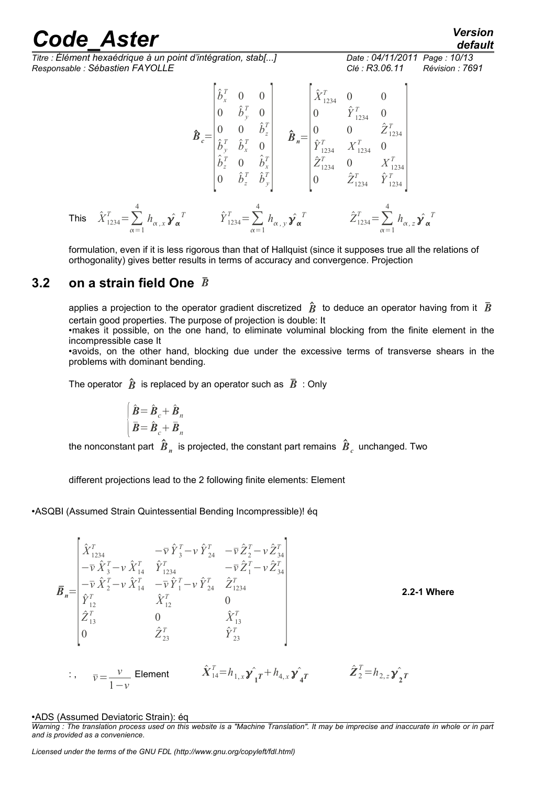*Titre : Élément hexaédrique à un point d'intégration, stab[...] Date : 04/11/2011 Page : 10/13 Responsable : Sébastien FAYOLLE Clé : R3.06.11 Révision : 7691*

*default*

$$
\hat{\mathbf{B}}_{c} = \begin{bmatrix} \hat{b}_{x}^{T} & 0 & 0 \\ 0 & \hat{b}_{y}^{T} & 0 \\ 0 & 0 & \hat{b}_{z}^{T} \\ \hat{b}_{z}^{T} & \hat{b}_{x}^{T} & 0 \\ \hat{b}_{z}^{T} & 0 & \hat{b}_{z}^{T} \\ \hat{b}_{z}^{T} & 0 & \hat{b}_{x}^{T} \\ 0 & \hat{b}_{z}^{T} & \hat{b}_{y}^{T} \end{bmatrix} \quad \hat{\mathbf{B}}_{n} = \begin{bmatrix} \hat{X}_{1234}^{T} & 0 & 0 \\ 0 & \hat{Y}_{1234}^{T} & 0 \\ 0 & 0 & \hat{Z}_{1234}^{T} \\ \hat{Y}_{1234}^{T} & 0 & X_{1234}^{T} \\ 0 & \hat{b}_{z}^{T} & \hat{b}_{y}^{T} \\ 0 & \hat{b}_{z}^{T} & \hat{b}_{y}^{T} \end{bmatrix}
$$
\nThis  $\hat{X}_{1234}^{T} = \sum_{\alpha=1}^{4} h_{\alpha,x} \hat{\mathbf{y}}_{\alpha}^{T}$   $\hat{Y}_{1234}^{T} = \sum_{\alpha=1}^{4} h_{\alpha,x} \hat{\mathbf{y}}_{\alpha}^{T}$   $\hat{Y}_{1234}^{T} = \sum_{\alpha=1}^{4} h_{\alpha,z} \hat{\mathbf{y}}_{\alpha}^{T}$ 

formulation, even if it is less rigorous than that of Hallquist (since it supposes true all the relations of orthogonality) gives better results in terms of accuracy and convergence. Projection

### **3.2 on a strain field One** *B*

applies a projection to the operator gradient discretized  $\hat{B}$  to deduce an operator having from it  $\bar{B}$ certain good properties. The purpose of projection is double: It

•makes it possible, on the one hand, to eliminate voluminal blocking from the finite element in the incompressible case It

•avoids, on the other hand, blocking due under the excessive terms of transverse shears in the problems with dominant bending.

The operator  $\hat{B}$  is replaced by an operator such as  $\bar{B}$  : Only

$$
\begin{cases}\n\hat{\mathbf{B}} = \hat{\mathbf{B}}_c + \hat{\mathbf{B}}_n \\
\bar{\mathbf{B}} = \hat{\mathbf{B}}_c + \bar{\mathbf{B}}_n\n\end{cases}
$$

the nonconstant part  $\left.\hat{\pmb{B}}_{n}\right.$  is projected, the constant part remains  $\left.\hat{\pmb{B}}_{c}\right.$  unchanged. Two

different projections lead to the 2 following finite elements: Element

•ASQBI (Assumed Strain Quintessential Bending Incompressible)! éq

$$
\vec{B}_{n} = \begin{bmatrix}\n\hat{X}_{1234}^{T} & -\bar{\nu} \hat{Y}_{3}^{T} - \nu \hat{Y}_{24}^{T} & -\bar{\nu} \hat{Z}_{2}^{T} - \nu \hat{Z}_{34}^{T} \\
-\bar{\nu} \hat{X}_{3}^{T} - \nu \hat{X}_{14}^{T} & \hat{Y}_{1234}^{T} & -\bar{\nu} \hat{Z}_{1}^{T} - \nu \hat{Z}_{34}^{T} \\
-\bar{\nu} \hat{X}_{2}^{T} - \nu \hat{X}_{14}^{T} & -\bar{\nu} \hat{Y}_{1}^{T} - \nu \hat{Y}_{24}^{T} & \hat{Z}_{1234}^{T} \\
\hat{Y}_{12}^{T} & \hat{X}_{12}^{T} & 0 & \hat{X}_{13}^{T} \\
0 & \hat{Z}_{23}^{T} & \hat{Y}_{23}^{T} & \hat{Y}_{23}^{T}\n\end{bmatrix}
$$
\n2.2-1 Where  
\n
$$
\vec{C}_{13}^{T} = \begin{bmatrix}\n\hat{X}_{14}^{T} = h_{1,x} \hat{Y}_{1}^{T} + h_{4,x} \hat{Y}_{4}^{T} & \hat{Z}_{2}^{T} = h_{2,z} \hat{Y}_{2}^{T} \\
-\bar{\nu} \hat{Y}_{23}^{T} & \hat{Y}_{23}^{T}\n\end{bmatrix}
$$

#### •ADS (Assumed Deviatoric Strain): éq

*Warning : The translation process used on this website is a "Machine Translation". It may be imprecise and inaccurate in whole or in part and is provided as a convenience.*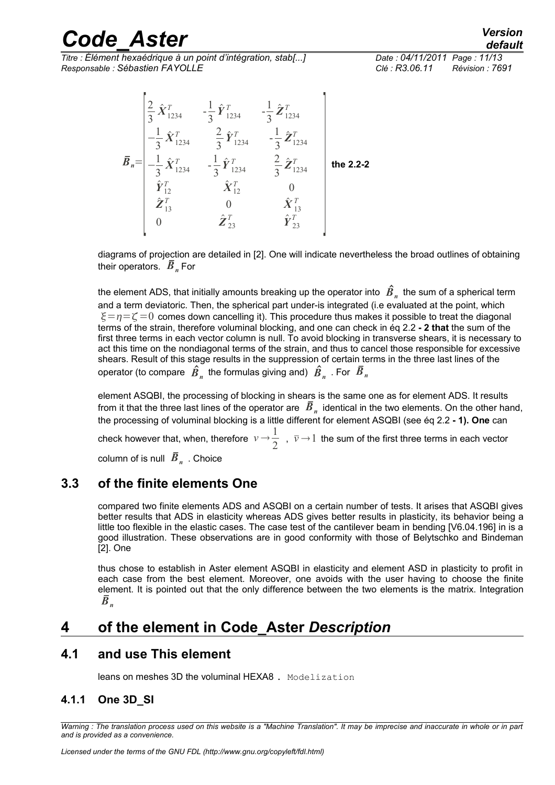*Titre : Élément hexaédrique à un point d'intégration, stab[...] Date : 04/11/2011 Page : 11/13 Responsable : Sébastien FAYOLLE Clé : R3.06.11 Révision : 7691*

$$
\vec{B}_n = \begin{bmatrix}\n\frac{2}{3} \hat{X}_{1234}^T & -\frac{1}{3} \hat{Y}_{1234}^T & -\frac{1}{3} \hat{Z}_{1234}^T \\
-\frac{1}{3} \hat{X}_{1234}^T & \frac{2}{3} \hat{Y}_{1234}^T & -\frac{1}{3} \hat{Z}_{1234}^T \\
-\frac{1}{3} \hat{X}_{1234}^T & -\frac{1}{3} \hat{Y}_{1234}^T & \frac{2}{3} \hat{Z}_{1234}^T \\
\hat{Y}_{12}^T & \hat{X}_{12}^T & 0 \\
\hat{Z}_{13}^T & 0 & \hat{X}_{13}^T \\
0 & \hat{Z}_{23}^T & \hat{Y}_{23}^T\n\end{bmatrix} \text{ the 2.2-2}
$$

diagrams of projection are detailed in [2]. One will indicate nevertheless the broad outlines of obtaining their operators.  $\bar{B}_n$  For

the element ADS, that initially amounts breaking up the operator into  $\,{\hat B}_n^{}\,$  the sum of a spherical term and a term deviatoric. Then, the spherical part under-is integrated (i.e evaluated at the point, which  $\xi = n = \zeta = 0$  comes down cancelling it). This procedure thus makes it possible to treat the diagonal terms of the strain, therefore voluminal blocking, and one can check in éq 2.2 **- 2 that** the sum of the first three terms in each vector column is null. To avoid blocking in transverse shears, it is necessary to act this time on the nondiagonal terms of the strain, and thus to cancel those responsible for excessive shears. Result of this stage results in the suppression of certain terms in the three last lines of the operator (to compare  $\;\hat{B}_{{}_n}^{\phantom{\dagger}}\;$  the formulas giving and)  $\;\hat{B}_{{}_n}^{\phantom{\dagger}}\;$  . For  $\;\bar{B}_{{}_n}^{\phantom{\dagger}}\;$ 

element ASQBI, the processing of blocking in shears is the same one as for element ADS. It results from it that the three last lines of the operator are  $|\bar{B}|_n$  identical in the two elements. On the other hand, the processing of voluminal blocking is a little different for element ASQBI (see éq 2.2 **- 1). One** can check however that, when, therefore  $v \rightarrow \frac{1}{2}$  $\frac{1}{2}$ ,  $\bar{v} \rightarrow 1$  the sum of the first three terms in each vector column of is null  $\bar{B}_n^{}$  . Choice

### **3.3 of the finite elements One**

compared two finite elements ADS and ASQBI on a certain number of tests. It arises that ASQBI gives better results that ADS in elasticity whereas ADS gives better results in plasticity, its behavior being a little too flexible in the elastic cases. The case test of the cantilever beam in bending [V6.04.196] in is a good illustration. These observations are in good conformity with those of Belytschko and Bindeman [2]. One

thus chose to establish in Aster element ASQBI in elasticity and element ASD in plasticity to profit in each case from the best element. Moreover, one avoids with the user having to choose the finite element. It is pointed out that the only difference between the two elements is the matrix. Integration  $\overline{B}_n$ 

## **4 of the element in Code\_Aster** *Description*

### **4.1 and use This element**

leans on meshes 3D the voluminal HEXA8. Modelization

#### **4.1.1 One 3D\_SI**

*Warning : The translation process used on this website is a "Machine Translation". It may be imprecise and inaccurate in whole or in part and is provided as a convenience.*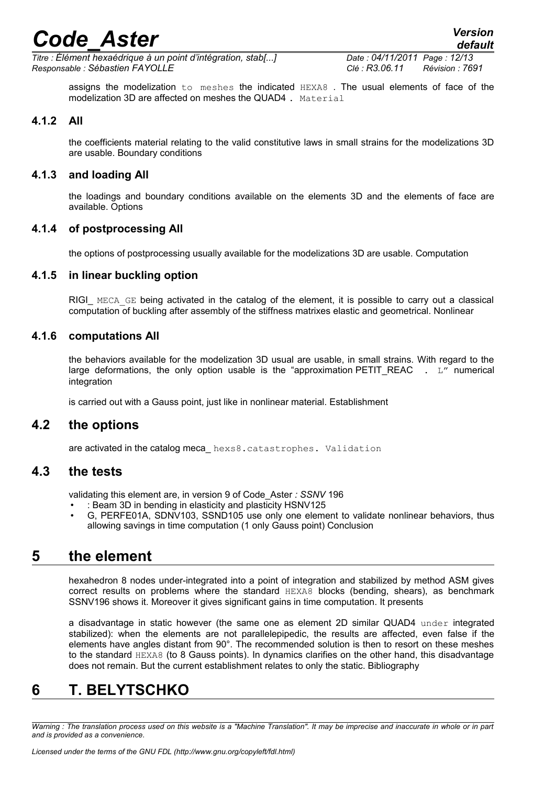*default*

*Titre : Élément hexaédrique à un point d'intégration, stab[...] Date : 04/11/2011 Page : 12/13 Responsable : Sébastien FAYOLLE Clé : R3.06.11 Révision : 7691*

assigns the modelization to meshes the indicated HEXA8 . The usual elements of face of the modelization 3D are affected on meshes the QUAD4 . Material

#### **4.1.2 All**

the coefficients material relating to the valid constitutive laws in small strains for the modelizations 3D are usable. Boundary conditions

#### **4.1.3 and loading All**

the loadings and boundary conditions available on the elements 3D and the elements of face are available. Options

#### **4.1.4 of postprocessing All**

the options of postprocessing usually available for the modelizations 3D are usable. Computation

#### **4.1.5 in linear buckling option**

RIGI\_ MECA\_GE being activated in the catalog of the element, it is possible to carry out a classical computation of buckling after assembly of the stiffness matrixes elastic and geometrical. Nonlinear

#### **4.1.6 computations All**

the behaviors available for the modelization 3D usual are usable, in small strains. With regard to the large deformations, the only option usable is the "approximation PETIT REAC  $\cdot$  L" numerical integration

is carried out with a Gauss point, just like in nonlinear material. Establishment

#### **4.2 the options**

are activated in the catalog meca\_ hexs8.catastrophes. Validation

#### **4.3 the tests**

validating this element are, in version 9 of Code\_Aster *: SSNV* 196

- : Beam 3D in bending in elasticity and plasticity HSNV125
- G, PERFE01A, SDNV103, SSND105 use only one element to validate nonlinear behaviors, thus allowing savings in time computation (1 only Gauss point) Conclusion

### **5 the element**

hexahedron 8 nodes under-integrated into a point of integration and stabilized by method ASM gives correct results on problems where the standard HEXA8 blocks (bending, shears), as benchmark SSNV196 shows it. Moreover it gives significant gains in time computation. It presents

a disadvantage in static however (the same one as element 2D similar QUAD4 under integrated stabilized): when the elements are not parallelepipedic, the results are affected, even false if the elements have angles distant from 90°. The recommended solution is then to resort on these meshes to the standard HEXA8 (to 8 Gauss points). In dynamics clarifies on the other hand, this disadvantage does not remain. But the current establishment relates to only the static. Bibliography

### **6 T. BELYTSCHKO**

*Warning : The translation process used on this website is a "Machine Translation". It may be imprecise and inaccurate in whole or in part and is provided as a convenience.*